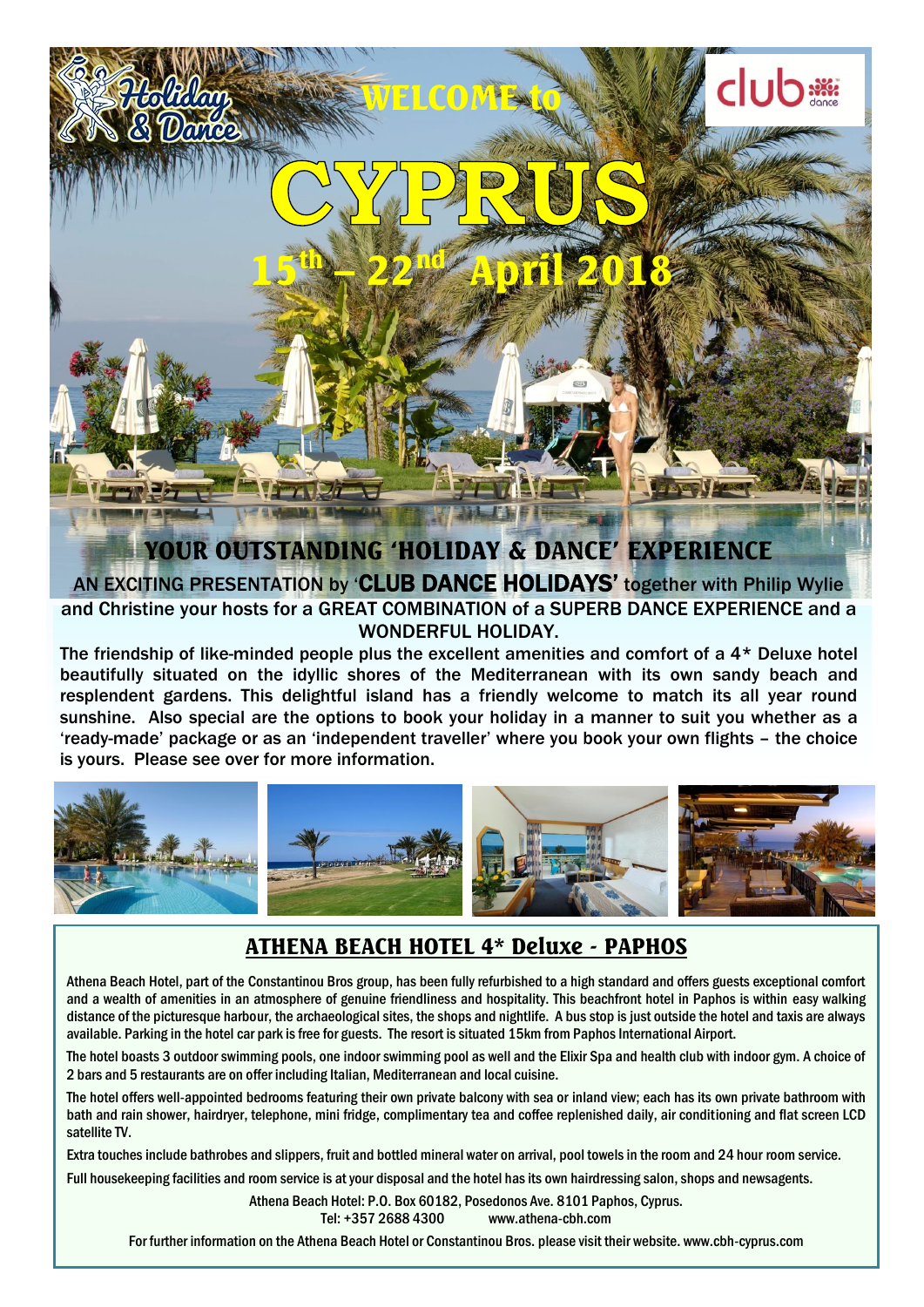

**EXEMPLY IN EXEMPLY TRESPAYING THE COMBINATION OF A SUPERB DANCE EXPERIENCE and a** AN EXCITING PRESENTATION by 'CLUB DANCE HOLIDAYS' together with Philip Wylie WONDERFUL HOLIDAY.

The friendship of like-minded people plus the excellent amenities and comfort of a 4\* Deluxe hotel beautifully situated on the idyllic shores of the Mediterranean with its own sandy beach and resplendent gardens. This delightful island has a friendly welcome to match its all year round sunshine. Also special are the options to book your holiday in a manner to suit you whether as a 'ready-made' package or as an 'independent traveller' where you book your own flights – the choice is yours. Please see over for more information.



## ATHENA BEACH HOTEL 4\* Deluxe - PAPHOS

Athena Beach Hotel, part of the Constantinou Bros group, has been fully refurbished to a high standard and offers guests exceptional comfort and a wealth of amenities in an atmosphere of genuine friendliness and hospitality. This beachfront hotel in Paphos is within easy walking distance of the picturesque harbour, the archaeological sites, the shops and nightlife. A bus stop is just outside the hotel and taxis are always available. Parking in the hotel car park is free for guests. The resort is situated 15km from Paphos International Airport.

The hotel boasts 3 outdoor swimming pools, one indoor swimming pool as well and the Elixir Spa and health club with indoor gym. A choice of 2 bars and 5 restaurants are on offer including Italian, Mediterranean and local cuisine.

The hotel offers well-appointed bedrooms featuring their own private balcony with sea or inland view; each has its own private bathroom with bath and rain shower, hairdryer, telephone, mini fridge, complimentary tea and coffee replenished daily, air conditioning and flat screen LCD satellite TV.

Extra touches include bathrobes and slippers, fruit and bottled mineral water on arrival, pool towels in the room and 24 hour room service.

Full housekeeping facilities and room service is at your disposal and the hotel has its own hairdressing salon, shops and newsagents.

Athena Beach Hotel: P.O. Box 60182, Posedonos Ave. 8101 Paphos, Cyprus. Tel: +357 2688 4300 www.athena-cbh.com

For further information on the Athena Beach Hotel or Constantinou Bros. please visit their website. www.cbh-cyprus.com